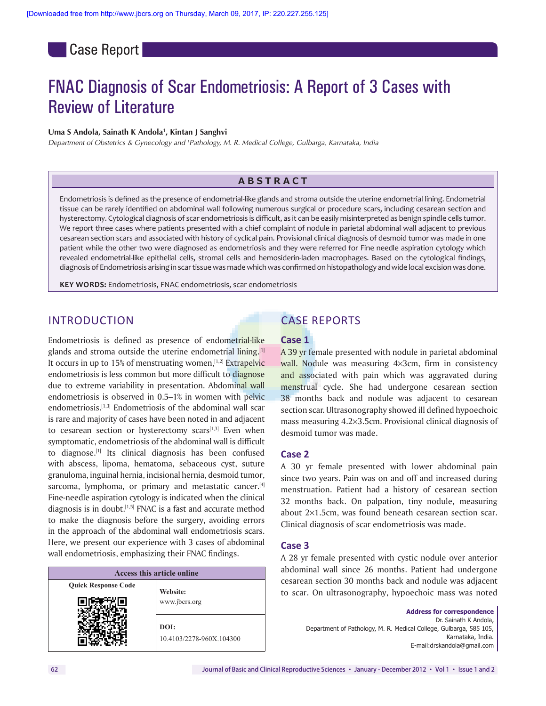**Case Report** 

# FNAC Diagnosis of Scar Endometriosis: A Report of 3 Cases with Review of Literature

#### Uma S Andola, Sainath K Andola<sup>1</sup>, Kintan J Sanghvi

*Department of Obstetrics & Gynecology and 1 Pathology, M. R. Medical College, Gulbarga, Karnataka, India*

### **Abstr a c t**

Endometriosis is defined as the presence of endometrial-like glands and stroma outside the uterine endometrial lining. Endometrial tissue can be rarely identified on abdominal wall following numerous surgical or procedure scars, including cesarean section and hysterectomy. Cytological diagnosis of scar endometriosis is difficult, as it can be easily misinterpreted as benign spindle cells tumor. We report three cases where patients presented with a chief complaint of nodule in parietal abdominal wall adjacent to previous cesarean section scars and associated with history of cyclical pain. Provisional clinical diagnosis of desmoid tumor was made in one patient while the other two were diagnosed as endometriosis and they were referred for Fine needle aspiration cytology which revealed endometrial-like epithelial cells, stromal cells and hemosiderin-laden macrophages. Based on the cytological findings, diagnosis of Endometriosis arising in scar tissue was made which was confirmed on histopathology and wide local excision was done.

**Key words:** Endometriosis, FNAC endometriosis, scar endometriosis

# INTRODUCTION

Endometriosis is defined as presence of endometrial-like glands and stroma outside the uterine endometrial lining.<sup>[1]</sup> It occurs in up to  $15\%$  of menstruating women,  $[1,2]$  Extrapelvic endometriosis is less common but more difficult to diagnose due to extreme variability in presentation. Abdominal wall endometriosis is observed in 0.5–1% in women with pelvic endometriosis.<sup>[1,3]</sup> Endometriosis of the abdominal wall scar is rare and majority of cases have been noted in and adjacent to cesarean section or hysterectomy scars $[1,3]$  Even when symptomatic, endometriosis of the abdominal wall is difficult to diagnose.[1] Its clinical diagnosis has been confused with abscess, lipoma, hematoma, sebaceous cyst, suture granuloma, inguinal hernia, incisional hernia, desmoid tumor, sarcoma, lymphoma, or primary and metastatic cancer.<sup>[4]</sup> Fine-needle aspiration cytology is indicated when the clinical diagnosis is in doubt.[1,5] FNAC is a fast and accurate method to make the diagnosis before the surgery, avoiding errors in the approach of the abdominal wall endometriosis scars. Here, we present our experience with 3 cases of abdominal wall endometriosis, emphasizing their FNAC findings.

| Access this article online |                                  |
|----------------------------|----------------------------------|
| <b>Quick Response Code</b> | Website:                         |
|                            | www.jbcrs.org                    |
|                            | DOI:<br>10.4103/2278-960X.104300 |

# CASE REPORTS

#### **Case 1**

A 39 yr female presented with nodule in parietal abdominal wall. Nodule was measuring 4×3cm, firm in consistency and associated with pain which was aggravated during menstrual cycle. She had undergone cesarean section 38 months back and nodule was adjacent to cesarean section scar. Ultrasonography showed ill defined hypoechoic mass measuring 4.2×3.5cm. Provisional clinical diagnosis of desmoid tumor was made.

#### **Case 2**

A 30 yr female presented with lower abdominal pain since two years. Pain was on and off and increased during menstruation. Patient had a history of cesarean section 32 months back. On palpation, tiny nodule, measuring about 2×1.5cm, was found beneath cesarean section scar. Clinical diagnosis of scar endometriosis was made.

#### **Case 3**

A 28 yr female presented with cystic nodule over anterior abdominal wall since 26 months. Patient had undergone cesarean section 30 months back and nodule was adjacent to scar. On ultrasonography, hypoechoic mass was noted

> **Address for correspondence**  Dr. Sainath K Andola, Department of Pathology, M. R. Medical College, Gulbarga, 585 105, Karnataka, India. E‑mail:drskandola@gmail.com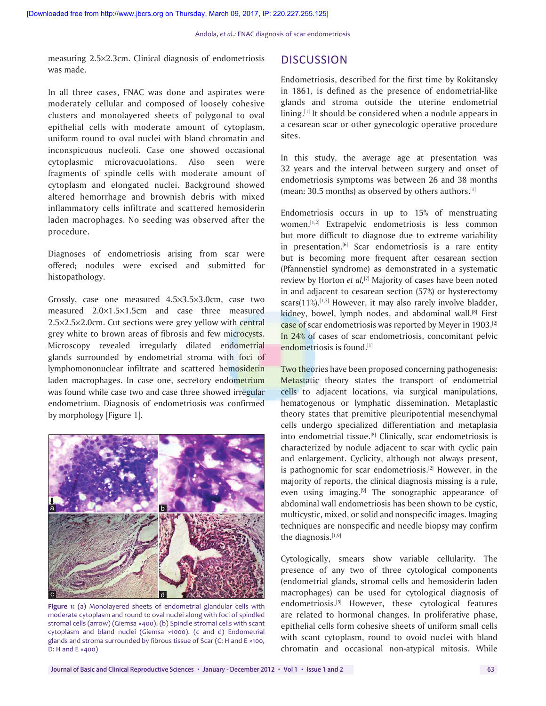measuring 2.5×2.3cm. Clinical diagnosis of endometriosis was made.

In all three cases, FNAC was done and aspirates were moderately cellular and composed of loosely cohesive clusters and monolayered sheets of polygonal to oval epithelial cells with moderate amount of cytoplasm, uniform round to oval nuclei with bland chromatin and inconspicuous nucleoli. Case one showed occasional cytoplasmic microvacuolations. Also seen were fragments of spindle cells with moderate amount of cytoplasm and elongated nuclei. Background showed altered hemorrhage and brownish debris with mixed inflammatory cells infiltrate and scattered hemosiderin laden macrophages. No seeding was observed after the procedure.

Diagnoses of endometriosis arising from scar were offered; nodules were excised and submitted for histopathology.

Grossly, case one measured 4.5×3.5×3.0cm, case two measured 2.0×1.5×1.5cm and case three measured 2.5×2.5×2.0cm. Cut sections were grey yellow with central grey white to brown areas of fibrosis and few microcysts. Microscopy revealed irregularly dilated endometrial glands surrounded by endometrial stroma with foci of lymphomononuclear infiltrate and scattered hemosiderin laden macrophages. In case one, secretory endometrium was found while case two and case three showed irregular endometrium. Diagnosis of endometriosis was confirmed by morphology [Figure 1].



**Figure 1:** (a) Monolayered sheets of endometrial glandular cells with moderate cytoplasm and round to oval nuclei along with foci of spindled stromal cells (arrow) (Giemsa ×400). (b) Spindle stromal cells with scant cytoplasm and bland nuclei (Giemsa ×1000). (c and d) Endometrial glands and stroma surrounded by fibrous tissue of Scar (C: H and E ×100, D: H and E ×400)

# **DISCUSSION**

Endometriosis, described for the first time by Rokitansky in 1861, is defined as the presence of endometrial-like glands and stroma outside the uterine endometrial lining.<sup>[1]</sup> It should be considered when a nodule appears in a cesarean scar or other gynecologic operative procedure sites.

In this study, the average age at presentation was 32 years and the interval between surgery and onset of endometriosis symptoms was between 26 and 38 months (mean: 30.5 months) as observed by others authors. $[1]$ 

Endometriosis occurs in up to 15% of menstruating women.[1,2] Extrapelvic endometriosis is less common but more difficult to diagnose due to extreme variability in presentation.<sup>[6]</sup> Scar endometriosis is a rare entity but is becoming more frequent after cesarean section (Pfannenstiel syndrome) as demonstrated in a systematic review by Horton *et al*,<sup>[7]</sup> Majority of cases have been noted in and adjacent to cesarean section (57%) or hysterectomy scars $(11\%)$ .<sup>[1,3]</sup> However, it may also rarely involve bladder, kidney, bowel, lymph nodes, and abdominal wall.<sup>[8]</sup> First case of scar endometriosis was reported by Meyer in 1903.[2] In 24% of cases of scar endometriosis, concomitant pelvic endometriosis is found.[1]

Two theories have been proposed concerning pathogenesis: Metastatic theory states the transport of endometrial cells to adjacent locations, via surgical manipulations, hematogenous or lymphatic dissemination. Metaplastic theory states that premitive pleuripotential mesenchymal cells undergo specialized differentiation and metaplasia into endometrial tissue.<sup>[8]</sup> Clinically, scar endometriosis is characterized by nodule adjacent to scar with cyclic pain and enlargement. Cyclicity, although not always present, is pathognomic for scar endometriosis.<sup>[2]</sup> However, in the majority of reports, the clinical diagnosis missing is a rule, even using imaging.<sup>[9]</sup> The sonographic appearance of abdominal wall endometriosis has been shown to be cystic, multicystic, mixed, or solid and nonspecific images. Imaging techniques are nonspecific and needle biopsy may confirm the diagnosis.[1,9]

Cytologically, smears show variable cellularity. The presence of any two of three cytological components (endometrial glands, stromal cells and hemosiderin laden macrophages) can be used for cytological diagnosis of endometriosis.[5] However, these cytological features are related to hormonal changes. In proliferative phase, epithelial cells form cohesive sheets of uniform small cells with scant cytoplasm, round to ovoid nuclei with bland chromatin and occasional non-atypical mitosis. While